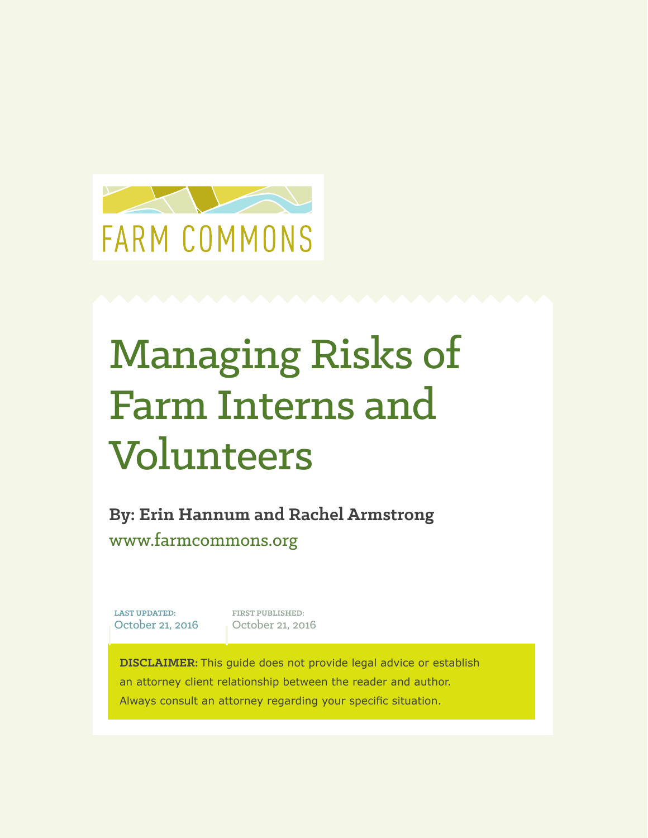

# Managing Risks of Farm Interns and Volunteers

**By: Erin Hannum and Rachel Armstrong** www.farmcommons.org

**LAST UPDATED:** October 21, 2016

**FIRST PUBLISHED:** October 21, 2016

**DISCLAIMER:** This guide does not provide legal advice or establish an attorney client relationship between the reader and author. Always consult an attorney regarding your specific situation.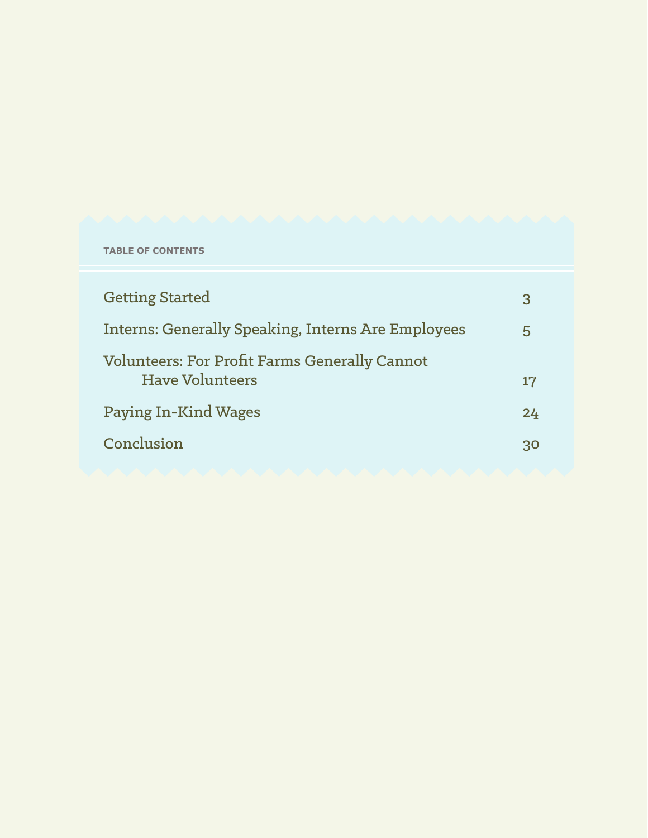|  |  | <b>TABLE OF CONTENTS</b> |
|--|--|--------------------------|
|--|--|--------------------------|

| <b>Getting Started</b>                                                         | 3  |
|--------------------------------------------------------------------------------|----|
| <b>Interns: Generally Speaking, Interns Are Employees</b>                      |    |
| <b>Volunteers: For Profit Farms Generally Cannot</b><br><b>Have Volunteers</b> | 17 |
| <b>Paying In-Kind Wages</b>                                                    | 24 |
| Conclusion                                                                     | 30 |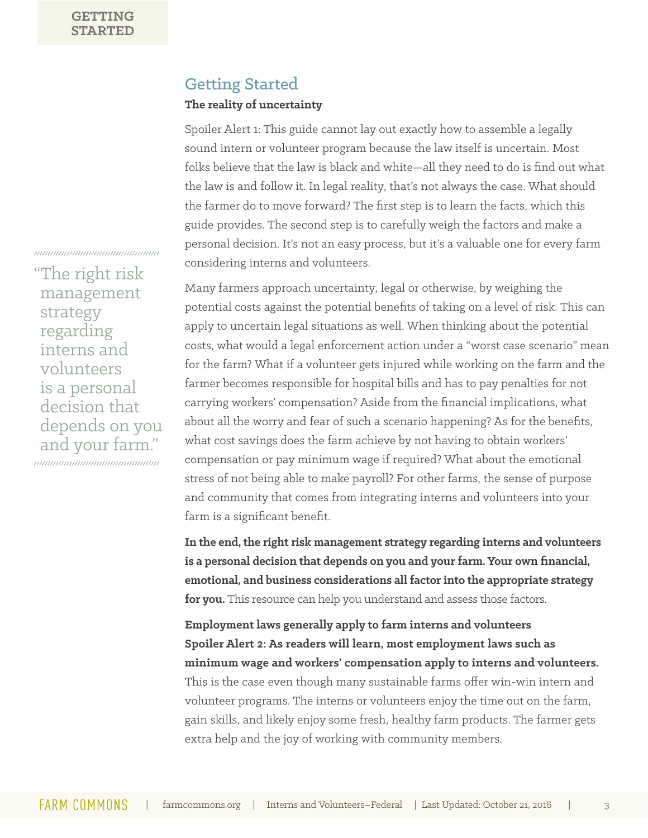### Getting Started

#### **The reality of uncertainty**

Spoiler Alert 1: This guide cannot lay out exactly how to assemble a legally sound intern or volunteer program because the law itself is uncertain. Most folks believe that the law is black and white—all they need to do is find out what the law is and follow it. In legal reality, that's not always the case. What should the farmer do to move forward? The first step is to learn the facts, which this guide provides. The second step is to carefully weigh the factors and make a personal decision. It's not an easy process, but it's a valuable one for every farm considering interns and volunteers.

Many farmers approach uncertainty, legal or otherwise, by weighing the potential costs against the potential benefits of taking on a level of risk. This can apply to uncertain legal situations as well. When thinking about the potential costs, what would a legal enforcement action under a "worst case scenario" mean for the farm? What if a volunteer gets injured while working on the farm and the farmer becomes responsible for hospital bills and has to pay penalties for not carrying workers' compensation? Aside from the financial implications, what about all the worry and fear of such a scenario happening? As for the benefits, what cost savings does the farm achieve by not having to obtain workers' compensation or pay minimum wage if required? What about the emotional stress of not being able to make payroll? For other farms, the sense of purpose and community that comes from integrating interns and volunteers into your farm is a significant benefit.

**In the end, the right risk management strategy regarding interns and volunteers is a personal decision that depends on you and your farm. Your own financial, emotional, and business considerations all factor into the appropriate strategy for you.** This resource can help you understand and assess those factors.

**Employment laws generally apply to farm interns and volunteers Spoiler Alert 2: As readers will learn, most employment laws such as minimum wage and workers' compensation apply to interns and volunteers.**  This is the case even though many sustainable farms offer win-win intern and volunteer programs. The interns or volunteers enjoy the time out on the farm, gain skills, and likely enjoy some fresh, healthy farm products. The farmer gets extra help and the joy of working with community members.

The right risk management strategy regarding interns and volunteers is a personal decision that depends on you and your farm."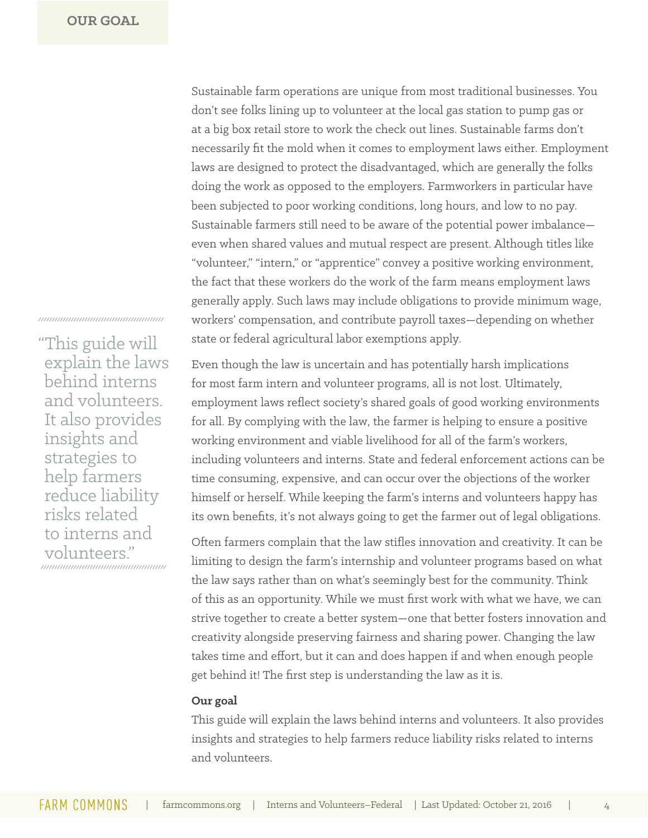Sustainable farm operations are unique from most traditional businesses. You don't see folks lining up to volunteer at the local gas station to pump gas or at a big box retail store to work the check out lines. Sustainable farms don't necessarily fit the mold when it comes to employment laws either. Employment laws are designed to protect the disadvantaged, which are generally the folks doing the work as opposed to the employers. Farmworkers in particular have been subjected to poor working conditions, long hours, and low to no pay. Sustainable farmers still need to be aware of the potential power imbalance even when shared values and mutual respect are present. Although titles like "volunteer," "intern," or "apprentice" convey a positive working environment, the fact that these workers do the work of the farm means employment laws generally apply. Such laws may include obligations to provide minimum wage, workers' compensation, and contribute payroll taxes—depending on whether state or federal agricultural labor exemptions apply.

Even though the law is uncertain and has potentially harsh implications for most farm intern and volunteer programs, all is not lost. Ultimately, employment laws reflect society's shared goals of good working environments for all. By complying with the law, the farmer is helping to ensure a positive working environment and viable livelihood for all of the farm's workers, including volunteers and interns. State and federal enforcement actions can be time consuming, expensive, and can occur over the objections of the worker himself or herself. While keeping the farm's interns and volunteers happy has its own benefits, it's not always going to get the farmer out of legal obligations.

Often farmers complain that the law stifles innovation and creativity. It can be limiting to design the farm's internship and volunteer programs based on what the law says rather than on what's seemingly best for the community. Think of this as an opportunity. While we must first work with what we have, we can strive together to create a better system—one that better fosters innovation and creativity alongside preserving fairness and sharing power. Changing the law takes time and effort, but it can and does happen if and when enough people get behind it! The first step is understanding the law as it is.

#### **Our goal**

This guide will explain the laws behind interns and volunteers. It also provides insights and strategies to help farmers reduce liability risks related to interns and volunteers.

"This guide will explain the laws behind interns and volunteers. It also provides insights and strategies to help farmers reduce liability risks related to interns and volunteers."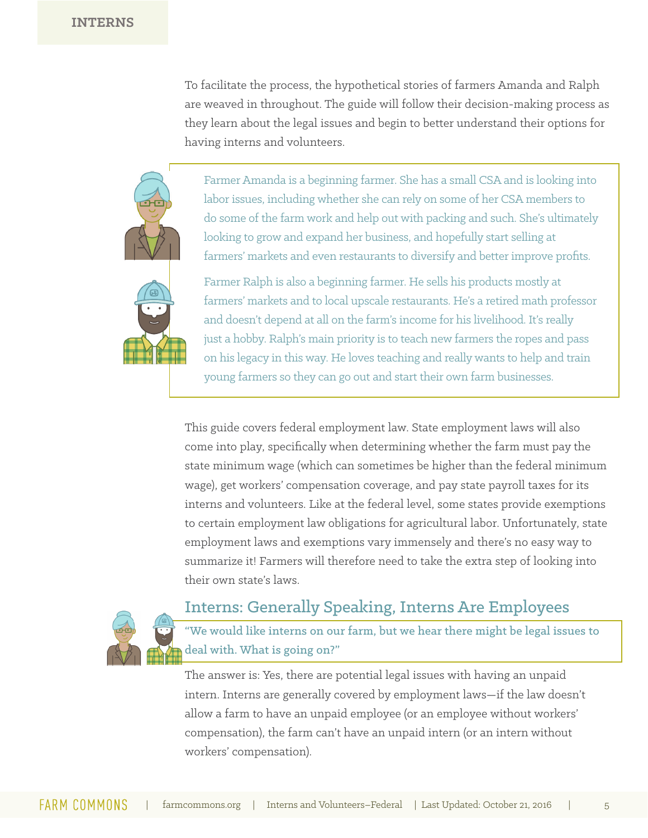To facilitate the process, the hypothetical stories of farmers Amanda and Ralph are weaved in throughout. The guide will follow their decision-making process as they learn about the legal issues and begin to better understand their options for having interns and volunteers.

Farmer Amanda is a beginning farmer. She has a small CSA and is looking into labor issues, including whether she can rely on some of her CSA members to do some of the farm work and help out with packing and such. She's ultimately looking to grow and expand her business, and hopefully start selling at farmers' markets and even restaurants to diversify and better improve profits.

Farmer Ralph is also a beginning farmer. He sells his products mostly at farmers' markets and to local upscale restaurants. He's a retired math professor and doesn't depend at all on the farm's income for his livelihood. It's really just a hobby. Ralph's main priority is to teach new farmers the ropes and pass on his legacy in this way. He loves teaching and really wants to help and train young farmers so they can go out and start their own farm businesses.

This guide covers federal employment law. State employment laws will also come into play, specifically when determining whether the farm must pay the state minimum wage (which can sometimes be higher than the federal minimum wage), get workers' compensation coverage, and pay state payroll taxes for its interns and volunteers. Like at the federal level, some states provide exemptions to certain employment law obligations for agricultural labor. Unfortunately, state employment laws and exemptions vary immensely and there's no easy way to summarize it! Farmers will therefore need to take the extra step of looking into their own state's laws.



### Interns: Generally Speaking, Interns Are Employees

"We would like interns on our farm, but we hear there might be legal issues to deal with. What is going on?"

The answer is: Yes, there are potential legal issues with having an unpaid intern. Interns are generally covered by employment laws—if the law doesn't allow a farm to have an unpaid employee (or an employee without workers' compensation), the farm can't have an unpaid intern (or an intern without workers' compensation).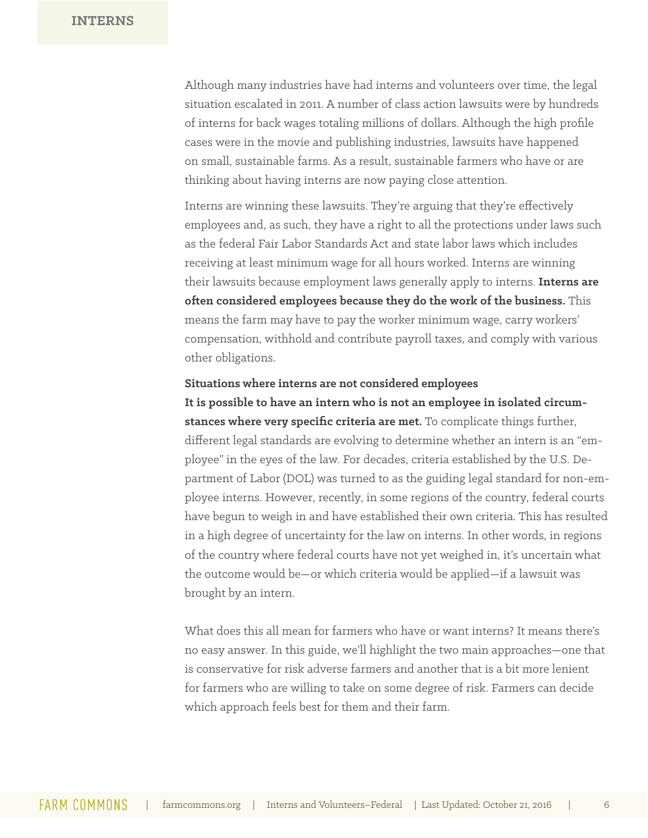Although many industries have had interns and volunteers over time, the legal situation escalated in 2011. A number of class action lawsuits were by hundreds of interns for back wages totaling millions of dollars. Although the high profile cases were in the movie and publishing industries, lawsuits have happened on small, sustainable farms. As a result, sustainable farmers who have or are thinking about having interns are now paying close attention.

Interns are winning these lawsuits. They're arguing that they're effectively employees and, as such, they have a right to all the protections under laws such as the federal Fair Labor Standards Act and state labor laws which includes receiving at least minimum wage for all hours worked. Interns are winning their lawsuits because employment laws generally apply to interns. **Interns are often considered employees because they do the work of the business.** This means the farm may have to pay the worker minimum wage, carry workers' compensation, withhold and contribute payroll taxes, and comply with various other obligations.

#### **Situations where interns are not considered employees**

**It is possible to have an intern who is not an employee in isolated circumstances where very specific criteria are met.** To complicate things further, different legal standards are evolving to determine whether an intern is an "employee" in the eyes of the law. For decades, criteria established by the U.S. Department of Labor (DOL) was turned to as the guiding legal standard for non-employee interns. However, recently, in some regions of the country, federal courts have begun to weigh in and have established their own criteria. This has resulted in a high degree of uncertainty for the law on interns. In other words, in regions of the country where federal courts have not yet weighed in, it's uncertain what the outcome would be—or which criteria would be applied—if a lawsuit was brought by an intern.

What does this all mean for farmers who have or want interns? It means there's no easy answer. In this guide, we'll highlight the two main approaches—one that is conservative for risk adverse farmers and another that is a bit more lenient for farmers who are willing to take on some degree of risk. Farmers can decide which approach feels best for them and their farm.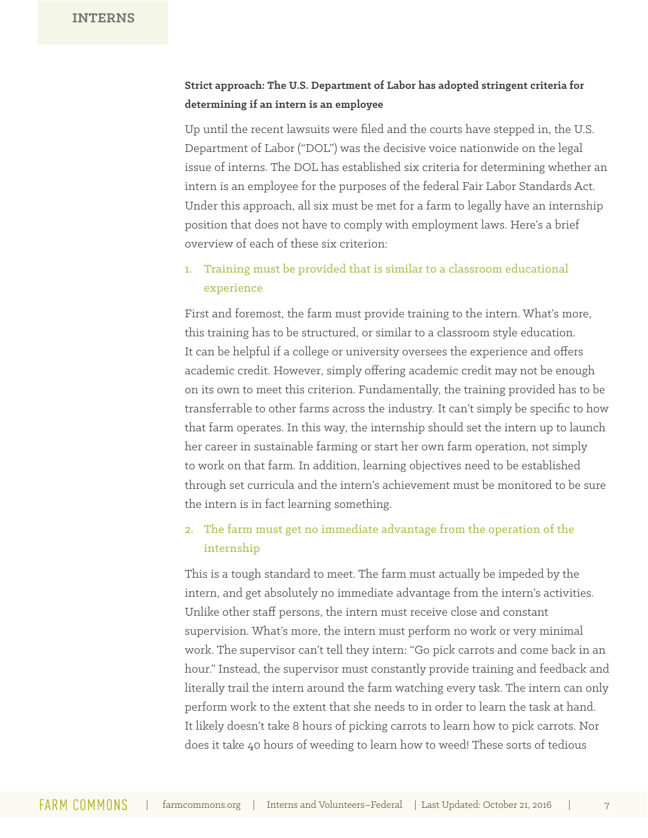### **Strict approach: The U.S. Department of Labor has adopted stringent criteria for determining if an intern is an employee**

Up until the recent lawsuits were filed and the courts have stepped in, the U.S. Department of Labor ("DOL") was the decisive voice nationwide on the legal issue of interns. The DOL has established six criteria for determining whether an intern is an employee for the purposes of the federal Fair Labor Standards Act. Under this approach, all six must be met for a farm to legally have an internship position that does not have to comply with employment laws. Here's a brief overview of each of these six criterion:

### 1. Training must be provided that is similar to a classroom educational experience

First and foremost, the farm must provide training to the intern. What's more, this training has to be structured, or similar to a classroom style education. It can be helpful if a college or university oversees the experience and offers academic credit. However, simply offering academic credit may not be enough on its own to meet this criterion. Fundamentally, the training provided has to be transferrable to other farms across the industry. It can't simply be specific to how that farm operates. In this way, the internship should set the intern up to launch her career in sustainable farming or start her own farm operation, not simply to work on that farm. In addition, learning objectives need to be established through set curricula and the intern's achievement must be monitored to be sure the intern is in fact learning something.

### 2. The farm must get no immediate advantage from the operation of the internship

This is a tough standard to meet. The farm must actually be impeded by the intern, and get absolutely no immediate advantage from the intern's activities. Unlike other staff persons, the intern must receive close and constant supervision. What's more, the intern must perform no work or very minimal work. The supervisor can't tell they intern: "Go pick carrots and come back in an hour." Instead, the supervisor must constantly provide training and feedback and literally trail the intern around the farm watching every task. The intern can only perform work to the extent that she needs to in order to learn the task at hand. It likely doesn't take 8 hours of picking carrots to learn how to pick carrots. Nor does it take 40 hours of weeding to learn how to weed! These sorts of tedious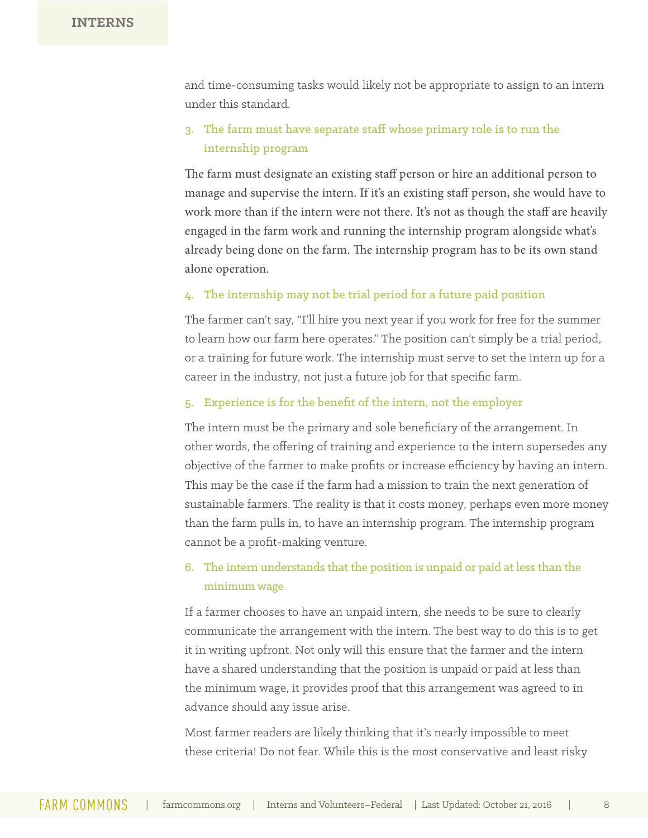and time-consuming tasks would likely not be appropriate to assign to an intern under this standard.

### 3. The farm must have separate staff whose primary role is to run the internship program

The farm must designate an existing staff person or hire an additional person to manage and supervise the intern. If it's an existing staff person, she would have to work more than if the intern were not there. It's not as though the staff are heavily engaged in the farm work and running the internship program alongside what's already being done on the farm. The internship program has to be its own stand alone operation.

#### 4. The internship may not be trial period for a future paid position

The farmer can't say, "I'll hire you next year if you work for free for the summer to learn how our farm here operates." The position can't simply be a trial period, or a training for future work. The internship must serve to set the intern up for a career in the industry, not just a future job for that specific farm.

#### 5. Experience is for the benefit of the intern, not the employer

The intern must be the primary and sole beneficiary of the arrangement. In other words, the offering of training and experience to the intern supersedes any objective of the farmer to make profits or increase efficiency by having an intern. This may be the case if the farm had a mission to train the next generation of sustainable farmers. The reality is that it costs money, perhaps even more money than the farm pulls in, to have an internship program. The internship program cannot be a profit-making venture.

### 6. The intern understands that the position is unpaid or paid at less than the minimum wage

If a farmer chooses to have an unpaid intern, she needs to be sure to clearly communicate the arrangement with the intern. The best way to do this is to get it in writing upfront. Not only will this ensure that the farmer and the intern have a shared understanding that the position is unpaid or paid at less than the minimum wage, it provides proof that this arrangement was agreed to in advance should any issue arise.

Most farmer readers are likely thinking that it's nearly impossible to meet these criteria! Do not fear. While this is the most conservative and least risky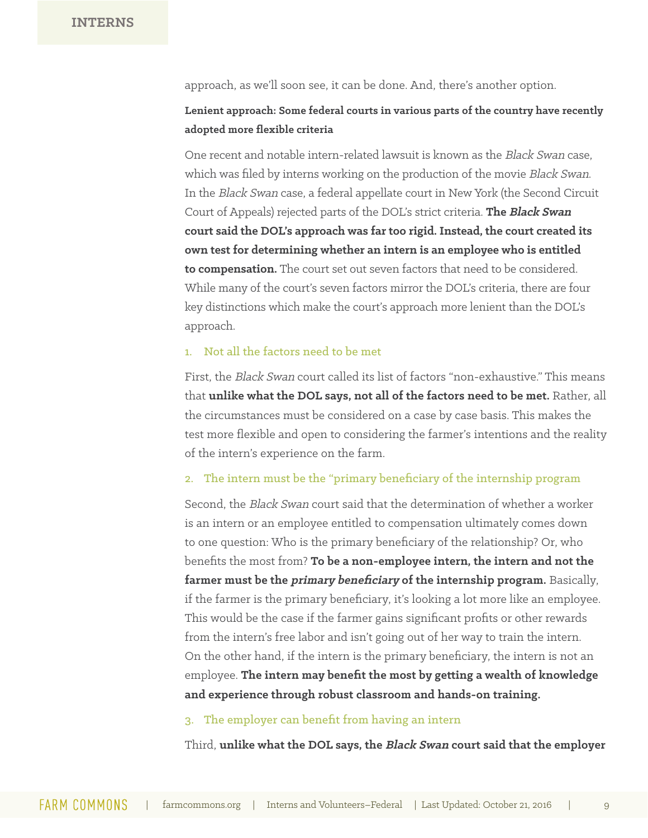approach, as we'll soon see, it can be done. And, there's another option.

#### **Lenient approach: Some federal courts in various parts of the country have recently adopted more flexible criteria**

One recent and notable intern-related lawsuit is known as the Black Swan case, which was filed by interns working on the production of the movie Black Swan. In the Black Swan case, a federal appellate court in New York (the Second Circuit Court of Appeals) rejected parts of the DOL's strict criteria. **The Black Swan court said the DOL's approach was far too rigid. Instead, the court created its own test for determining whether an intern is an employee who is entitled to compensation.** The court set out seven factors that need to be considered. While many of the court's seven factors mirror the DOL's criteria, there are four key distinctions which make the court's approach more lenient than the DOL's approach.

#### 1. Not all the factors need to be met

First, the Black Swan court called its list of factors "non-exhaustive." This means that **unlike what the DOL says, not all of the factors need to be met.** Rather, all the circumstances must be considered on a case by case basis. This makes the test more flexible and open to considering the farmer's intentions and the reality of the intern's experience on the farm.

#### 2. The intern must be the "primary beneficiary of the internship program

Second, the Black Swan court said that the determination of whether a worker is an intern or an employee entitled to compensation ultimately comes down to one question: Who is the primary beneficiary of the relationship? Or, who benefits the most from? **To be a non-employee intern, the intern and not the farmer must be the primary beneficiary of the internship program.** Basically, if the farmer is the primary beneficiary, it's looking a lot more like an employee. This would be the case if the farmer gains significant profits or other rewards from the intern's free labor and isn't going out of her way to train the intern. On the other hand, if the intern is the primary beneficiary, the intern is not an employee. **The intern may benefit the most by getting a wealth of knowledge and experience through robust classroom and hands-on training.**

#### 3. The employer can benefit from having an intern

Third, **unlike what the DOL says, the Black Swan court said that the employer**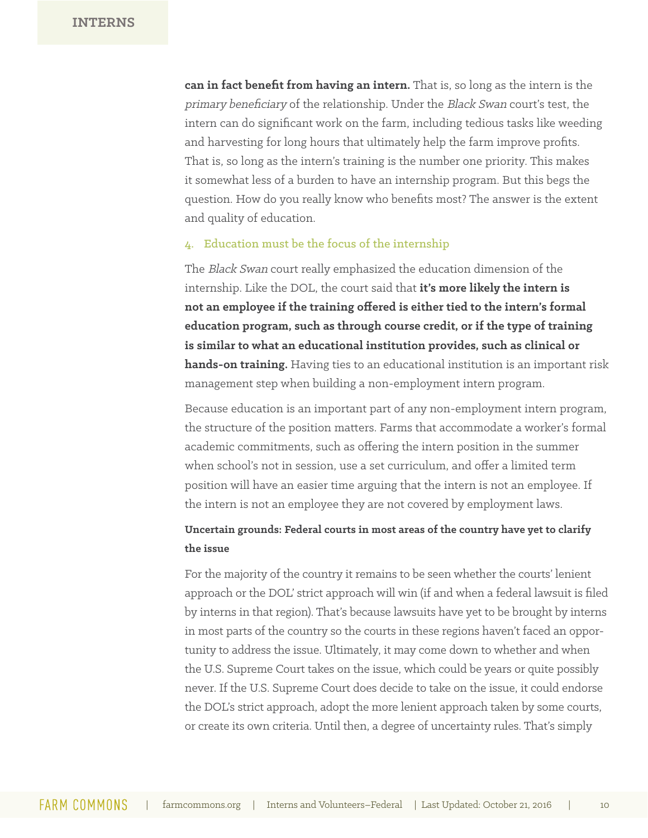**can in fact benefit from having an intern.** That is, so long as the intern is the primary beneficiary of the relationship. Under the Black Swan court's test, the intern can do significant work on the farm, including tedious tasks like weeding and harvesting for long hours that ultimately help the farm improve profits. That is, so long as the intern's training is the number one priority. This makes it somewhat less of a burden to have an internship program. But this begs the question. How do you really know who benefits most? The answer is the extent and quality of education.

#### 4. Education must be the focus of the internship

The Black Swan court really emphasized the education dimension of the internship. Like the DOL, the court said that **it's more likely the intern is not an employee if the training offered is either tied to the intern's formal education program, such as through course credit, or if the type of training is similar to what an educational institution provides, such as clinical or hands-on training.** Having ties to an educational institution is an important risk management step when building a non-employment intern program.

Because education is an important part of any non-employment intern program, the structure of the position matters. Farms that accommodate a worker's formal academic commitments, such as offering the intern position in the summer when school's not in session, use a set curriculum, and offer a limited term position will have an easier time arguing that the intern is not an employee. If the intern is not an employee they are not covered by employment laws.

### **Uncertain grounds: Federal courts in most areas of the country have yet to clarify the issue**

For the majority of the country it remains to be seen whether the courts' lenient approach or the DOL' strict approach will win (if and when a federal lawsuit is filed by interns in that region). That's because lawsuits have yet to be brought by interns in most parts of the country so the courts in these regions haven't faced an opportunity to address the issue. Ultimately, it may come down to whether and when the U.S. Supreme Court takes on the issue, which could be years or quite possibly never. If the U.S. Supreme Court does decide to take on the issue, it could endorse the DOL's strict approach, adopt the more lenient approach taken by some courts, or create its own criteria. Until then, a degree of uncertainty rules. That's simply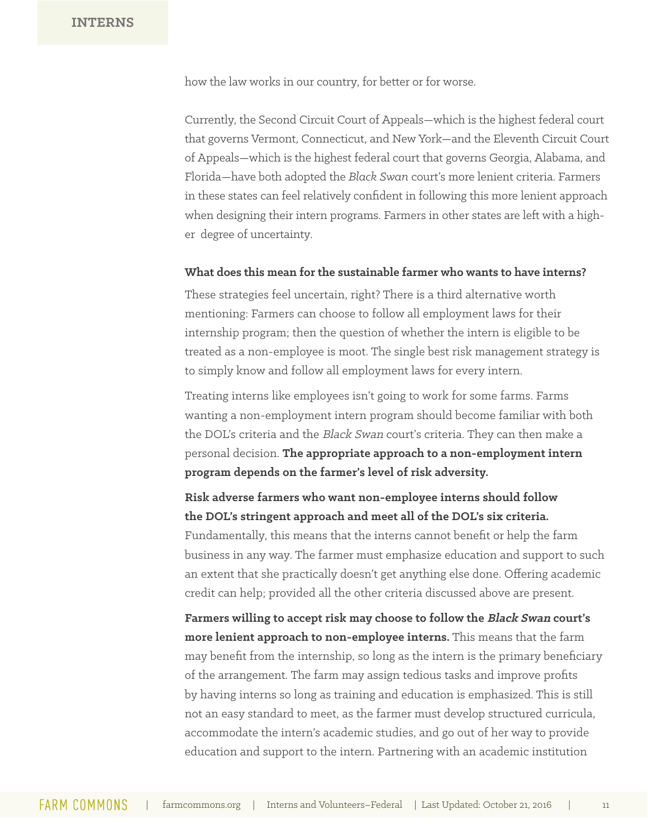how the law works in our country, for better or for worse.

Currently, the Second Circuit Court of Appeals—which is the highest federal court that governs Vermont, Connecticut, and New York—and the Eleventh Circuit Court of Appeals—which is the highest federal court that governs Georgia, Alabama, and Florida—have both adopted the *Black Swan* court's more lenient criteria. Farmers in these states can feel relatively confident in following this more lenient approach when designing their intern programs. Farmers in other states are left with a higher degree of uncertainty.

#### **What does this mean for the sustainable farmer who wants to have interns?**

These strategies feel uncertain, right? There is a third alternative worth mentioning: Farmers can choose to follow all employment laws for their internship program; then the question of whether the intern is eligible to be treated as a non-employee is moot. The single best risk management strategy is to simply know and follow all employment laws for every intern.

Treating interns like employees isn't going to work for some farms. Farms wanting a non-employment intern program should become familiar with both the DOL's criteria and the Black Swan court's criteria. They can then make a personal decision. **The appropriate approach to a non-employment intern program depends on the farmer's level of risk adversity.**

### **Risk adverse farmers who want non-employee interns should follow the DOL's stringent approach and meet all of the DOL's six criteria.**

Fundamentally, this means that the interns cannot benefit or help the farm business in any way. The farmer must emphasize education and support to such an extent that she practically doesn't get anything else done. Offering academic credit can help; provided all the other criteria discussed above are present.

**Farmers willing to accept risk may choose to follow the Black Swan court's more lenient approach to non-employee interns.** This means that the farm may benefit from the internship, so long as the intern is the primary beneficiary of the arrangement. The farm may assign tedious tasks and improve profits by having interns so long as training and education is emphasized. This is still not an easy standard to meet, as the farmer must develop structured curricula, accommodate the intern's academic studies, and go out of her way to provide education and support to the intern. Partnering with an academic institution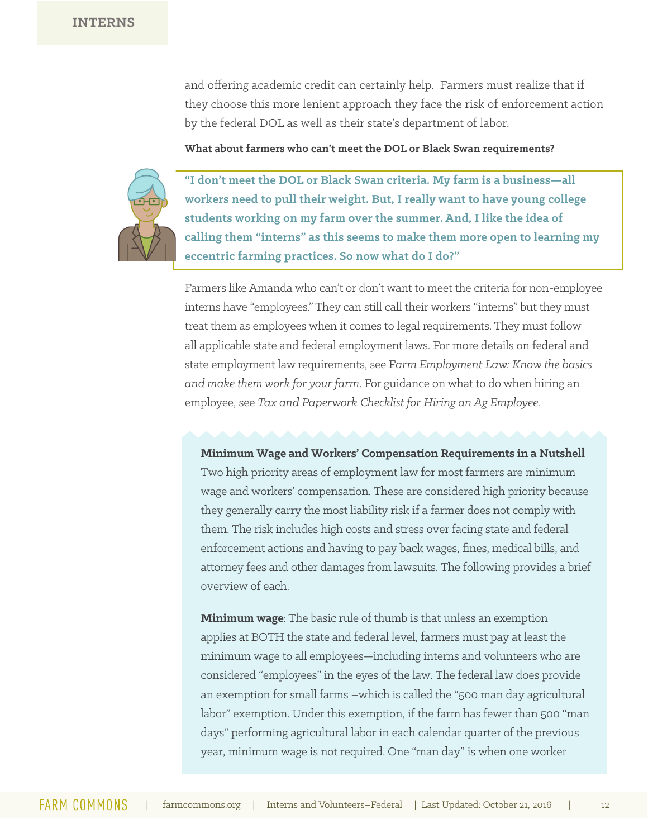and offering academic credit can certainly help. Farmers must realize that if they choose this more lenient approach they face the risk of enforcement action by the federal DOL as well as their state's department of labor.

#### **What about farmers who can't meet the DOL or Black Swan requirements?**



**"I don't meet the DOL or Black Swan criteria. My farm is a business—all workers need to pull their weight. But, I really want to have young college students working on my farm over the summer. And, I like the idea of calling them "interns" as this seems to make them more open to learning my eccentric farming practices. So now what do I do?"**

Farmers like Amanda who can't or don't want to meet the criteria for non-employee interns have "employees." They can still call their workers "interns" but they must treat them as employees when it comes to legal requirements. They must follow all applicable state and federal employment laws. For more details on federal and state employment law requirements, see F*arm Employment Law: Know the basics and make them work for your farm*. For guidance on what to do when hiring an employee, see *Tax and Paperwork Checklist for Hiring an Ag Employee.* 

#### **Minimum Wage and Workers' Compensation Requirements in a Nutshell**

Two high priority areas of employment law for most farmers are minimum wage and workers' compensation. These are considered high priority because they generally carry the most liability risk if a farmer does not comply with them. The risk includes high costs and stress over facing state and federal enforcement actions and having to pay back wages, fines, medical bills, and attorney fees and other damages from lawsuits. The following provides a brief overview of each.

**Minimum wage**: The basic rule of thumb is that unless an exemption applies at BOTH the state and federal level, farmers must pay at least the minimum wage to all employees—including interns and volunteers who are considered "employees" in the eyes of the law. The federal law does provide an exemption for small farms –which is called the "500 man day agricultural labor" exemption. Under this exemption, if the farm has fewer than 500 "man days" performing agricultural labor in each calendar quarter of the previous year, minimum wage is not required. One "man day" is when one worker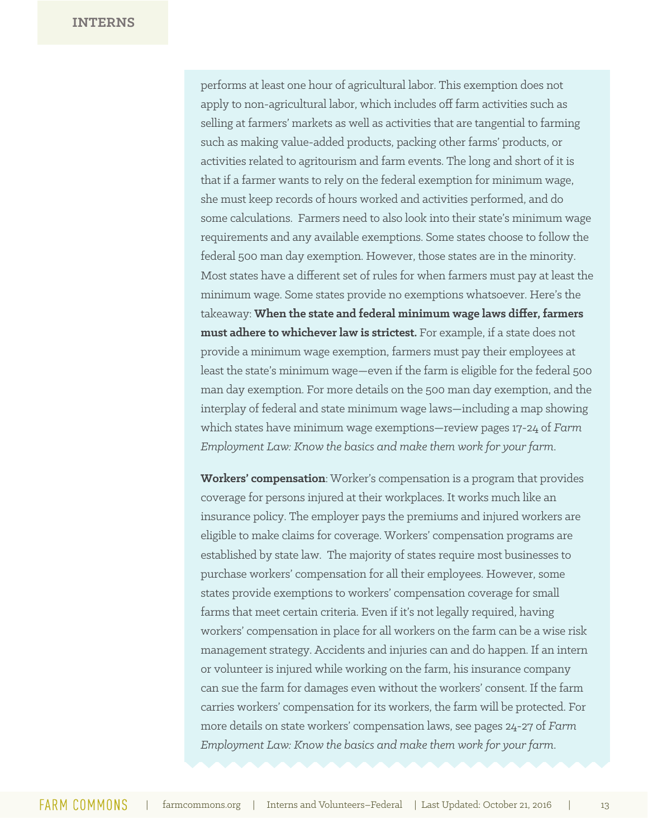performs at least one hour of agricultural labor. This exemption does not apply to non-agricultural labor, which includes off farm activities such as selling at farmers' markets as well as activities that are tangential to farming such as making value-added products, packing other farms' products, or activities related to agritourism and farm events. The long and short of it is that if a farmer wants to rely on the federal exemption for minimum wage, she must keep records of hours worked and activities performed, and do some calculations. Farmers need to also look into their state's minimum wage requirements and any available exemptions. Some states choose to follow the federal 500 man day exemption. However, those states are in the minority. Most states have a different set of rules for when farmers must pay at least the minimum wage. Some states provide no exemptions whatsoever. Here's the takeaway: **When the state and federal minimum wage laws differ, farmers must adhere to whichever law is strictest.** For example, if a state does not provide a minimum wage exemption, farmers must pay their employees at least the state's minimum wage—even if the farm is eligible for the federal 500 man day exemption. For more details on the 500 man day exemption, and the interplay of federal and state minimum wage laws—including a map showing which states have minimum wage exemptions—review pages 17-24 of *Farm Employment Law: Know the basics and make them work for your farm*.

**Workers' compensation**: Worker's compensation is a program that provides coverage for persons injured at their workplaces. It works much like an insurance policy. The employer pays the premiums and injured workers are eligible to make claims for coverage. Workers' compensation programs are established by state law. The majority of states require most businesses to purchase workers' compensation for all their employees. However, some states provide exemptions to workers' compensation coverage for small farms that meet certain criteria. Even if it's not legally required, having workers' compensation in place for all workers on the farm can be a wise risk management strategy. Accidents and injuries can and do happen. If an intern or volunteer is injured while working on the farm, his insurance company can sue the farm for damages even without the workers' consent. If the farm carries workers' compensation for its workers, the farm will be protected. For more details on state workers' compensation laws, see pages 24-27 of *Farm Employment Law: Know the basics and make them work for your farm*.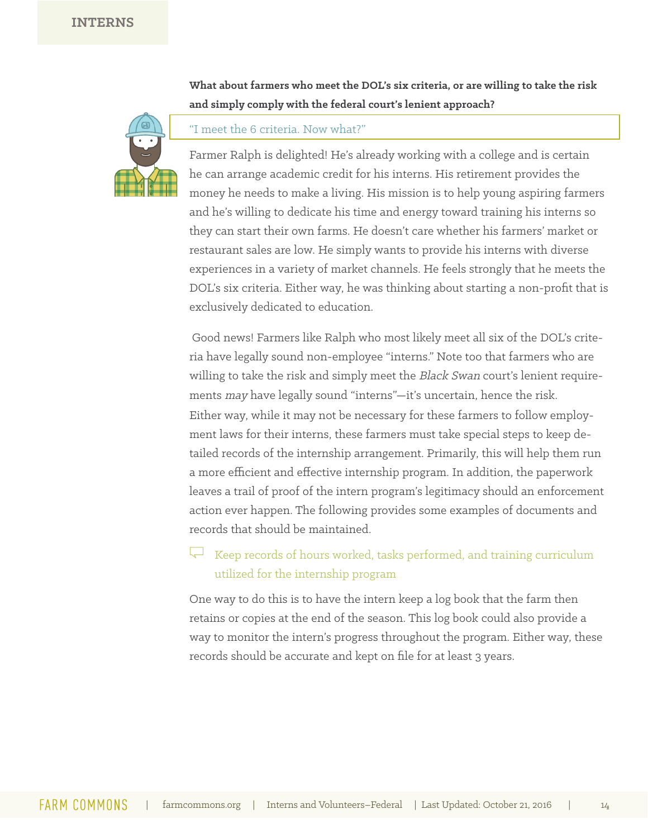**What about farmers who meet the DOL's six criteria, or are willing to take the risk and simply comply with the federal court's lenient approach?**



#### "I meet the 6 criteria. Now what?"

Farmer Ralph is delighted! He's already working with a college and is certain he can arrange academic credit for his interns. His retirement provides the money he needs to make a living. His mission is to help young aspiring farmers and he's willing to dedicate his time and energy toward training his interns so they can start their own farms. He doesn't care whether his farmers' market or restaurant sales are low. He simply wants to provide his interns with diverse experiences in a variety of market channels. He feels strongly that he meets the DOL's six criteria. Either way, he was thinking about starting a non-profit that is exclusively dedicated to education.

Good news! Farmers like Ralph who most likely meet all six of the DOL's criteria have legally sound non-employee "interns." Note too that farmers who are willing to take the risk and simply meet the Black Swan court's lenient requirements may have legally sound "interns"—it's uncertain, hence the risk. Either way, while it may not be necessary for these farmers to follow employment laws for their interns, these farmers must take special steps to keep detailed records of the internship arrangement. Primarily, this will help them run a more efficient and effective internship program. In addition, the paperwork leaves a trail of proof of the intern program's legitimacy should an enforcement action ever happen. The following provides some examples of documents and records that should be maintained.

### $\leftarrow$  Keep records of hours worked, tasks performed, and training curriculum utilized for the internship program

One way to do this is to have the intern keep a log book that the farm then retains or copies at the end of the season. This log book could also provide a way to monitor the intern's progress throughout the program. Either way, these records should be accurate and kept on file for at least 3 years.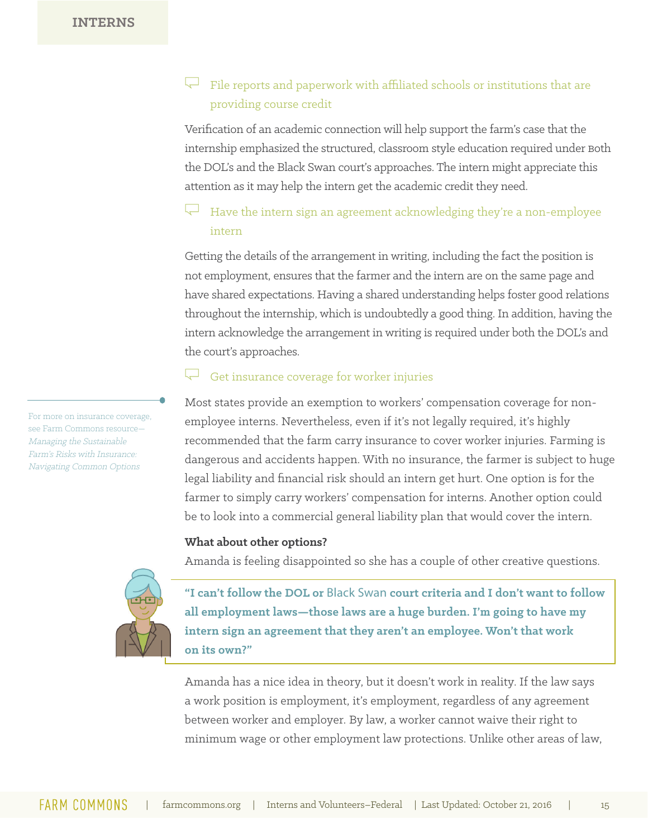### File reports and paperwork with affiliated schools or institutions that are providing course credit

Verification of an academic connection will help support the farm's case that the internship emphasized the structured, classroom style education required under Both the DOL's and the Black Swan court's approaches. The intern might appreciate this attention as it may help the intern get the academic credit they need.

### Have the intern sign an agreement acknowledging they're a non-employee intern

Getting the details of the arrangement in writing, including the fact the position is not employment, ensures that the farmer and the intern are on the same page and have shared expectations. Having a shared understanding helps foster good relations throughout the internship, which is undoubtedly a good thing. In addition, having the intern acknowledge the arrangement in writing is required under both the DOL's and the court's approaches.

#### Get insurance coverage for worker injuries

Most states provide an exemption to workers' compensation coverage for nonemployee interns. Nevertheless, even if it's not legally required, it's highly recommended that the farm carry insurance to cover worker injuries. Farming is dangerous and accidents happen. With no insurance, the farmer is subject to huge legal liability and financial risk should an intern get hurt. One option is for the farmer to simply carry workers' compensation for interns. Another option could be to look into a commercial general liability plan that would cover the intern.

#### **What about other options?**

Amanda is feeling disappointed so she has a couple of other creative questions.

**"I can't follow the DOL or** Black Swan **court criteria and I don't want to follow all employment laws—those laws are a huge burden. I'm going to have my intern sign an agreement that they aren't an employee. Won't that work on its own?"**

Amanda has a nice idea in theory, but it doesn't work in reality. If the law says a work position is employment, it's employment, regardless of any agreement between worker and employer. By law, a worker cannot waive their right to minimum wage or other employment law protections. Unlike other areas of law,

For more on insurance coverage, see Farm Commons resource— Managing the Sustainable Farm's Risks with Insurance: Navigating Common Options

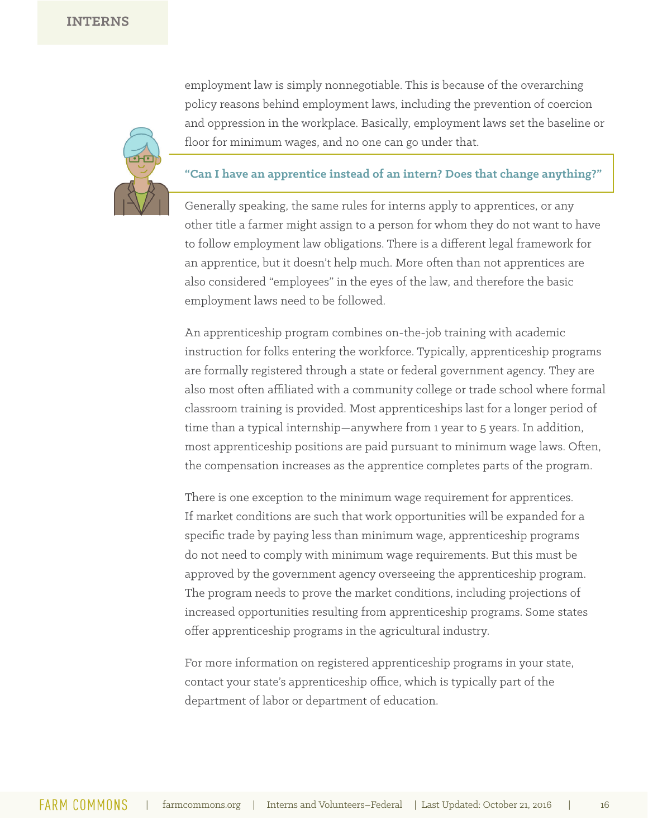

employment law is simply nonnegotiable. This is because of the overarching policy reasons behind employment laws, including the prevention of coercion and oppression in the workplace. Basically, employment laws set the baseline or floor for minimum wages, and no one can go under that.

#### **"Can I have an apprentice instead of an intern? Does that change anything?"**

Generally speaking, the same rules for interns apply to apprentices, or any other title a farmer might assign to a person for whom they do not want to have to follow employment law obligations. There is a different legal framework for an apprentice, but it doesn't help much. More often than not apprentices are also considered "employees" in the eyes of the law, and therefore the basic employment laws need to be followed.

An apprenticeship program combines on-the-job training with academic instruction for folks entering the workforce. Typically, apprenticeship programs are formally registered through a state or federal government agency. They are also most often affiliated with a community college or trade school where formal classroom training is provided. Most apprenticeships last for a longer period of time than a typical internship—anywhere from 1 year to 5 years. In addition, most apprenticeship positions are paid pursuant to minimum wage laws. Often, the compensation increases as the apprentice completes parts of the program.

There is one exception to the minimum wage requirement for apprentices. If market conditions are such that work opportunities will be expanded for a specific trade by paying less than minimum wage, apprenticeship programs do not need to comply with minimum wage requirements. But this must be approved by the government agency overseeing the apprenticeship program. The program needs to prove the market conditions, including projections of increased opportunities resulting from apprenticeship programs. Some states offer apprenticeship programs in the agricultural industry.

For more information on registered apprenticeship programs in your state, contact your state's apprenticeship office, which is typically part of the department of labor or department of education.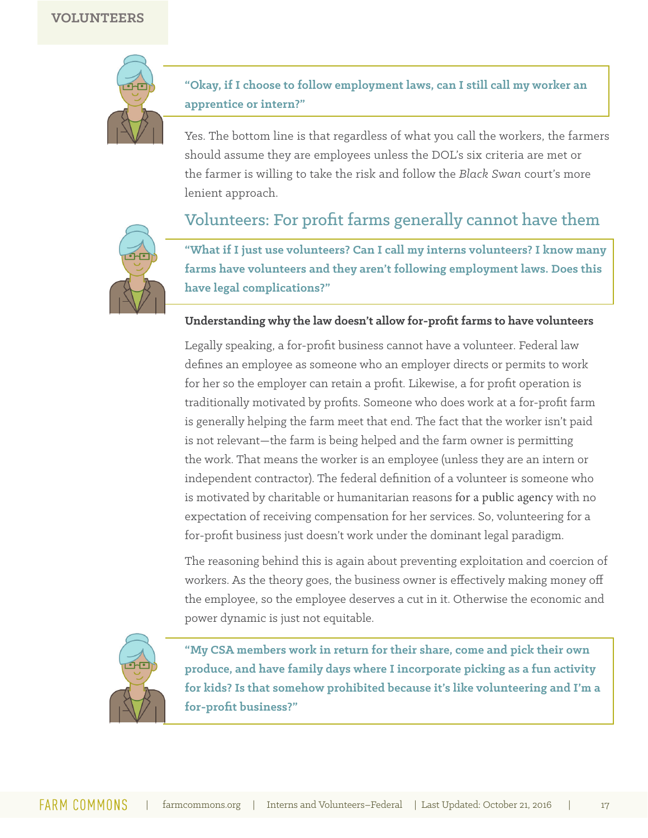

**"Okay, if I choose to follow employment laws, can I still call my worker an apprentice or intern?"**

Yes. The bottom line is that regardless of what you call the workers, the farmers should assume they are employees unless the DOL's six criteria are met or the farmer is willing to take the risk and follow the *Black Swan* court's more lenient approach.

### Volunteers: For profit farms generally cannot have them



**"What if I just use volunteers? Can I call my interns volunteers? I know many farms have volunteers and they aren't following employment laws. Does this have legal complications?"**

#### **Understanding why the law doesn't allow for-profit farms to have volunteers**

Legally speaking, a for-profit business cannot have a volunteer. Federal law defines an employee as someone who an employer directs or permits to work for her so the employer can retain a profit. Likewise, a for profit operation is traditionally motivated by profits. Someone who does work at a for-profit farm is generally helping the farm meet that end. The fact that the worker isn't paid is not relevant—the farm is being helped and the farm owner is permitting the work. That means the worker is an employee (unless they are an intern or independent contractor). The federal definition of a volunteer is someone who is motivated by charitable or humanitarian reasons for a public agency with no expectation of receiving compensation for her services. So, volunteering for a for-profit business just doesn't work under the dominant legal paradigm.

The reasoning behind this is again about preventing exploitation and coercion of workers. As the theory goes, the business owner is effectively making money off the employee, so the employee deserves a cut in it. Otherwise the economic and power dynamic is just not equitable.



**"My CSA members work in return for their share, come and pick their own produce, and have family days where I incorporate picking as a fun activity for kids? Is that somehow prohibited because it's like volunteering and I'm a for-profit business?"**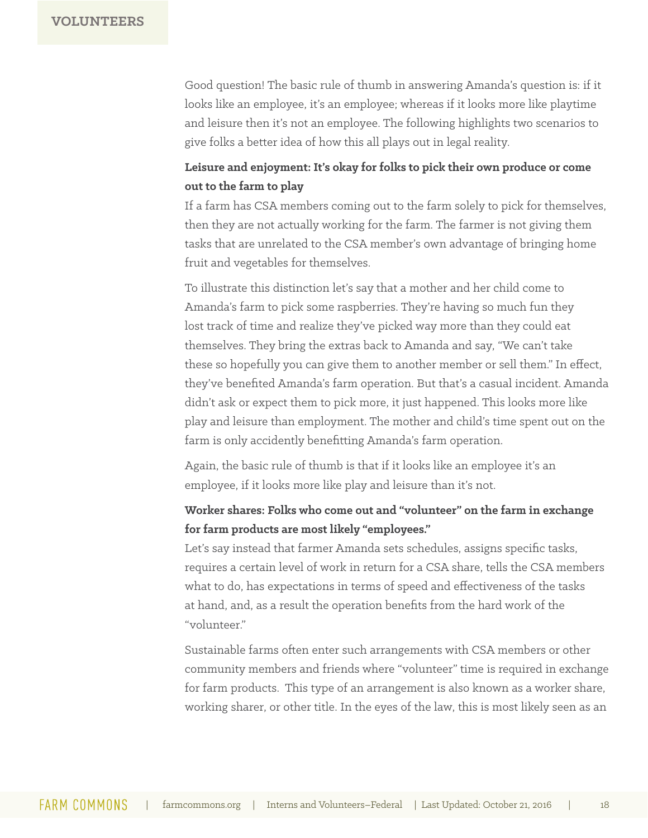Good question! The basic rule of thumb in answering Amanda's question is: if it looks like an employee, it's an employee; whereas if it looks more like playtime and leisure then it's not an employee. The following highlights two scenarios to give folks a better idea of how this all plays out in legal reality.

### **Leisure and enjoyment: It's okay for folks to pick their own produce or come out to the farm to play**

If a farm has CSA members coming out to the farm solely to pick for themselves, then they are not actually working for the farm. The farmer is not giving them tasks that are unrelated to the CSA member's own advantage of bringing home fruit and vegetables for themselves.

To illustrate this distinction let's say that a mother and her child come to Amanda's farm to pick some raspberries. They're having so much fun they lost track of time and realize they've picked way more than they could eat themselves. They bring the extras back to Amanda and say, "We can't take these so hopefully you can give them to another member or sell them." In effect, they've benefited Amanda's farm operation. But that's a casual incident. Amanda didn't ask or expect them to pick more, it just happened. This looks more like play and leisure than employment. The mother and child's time spent out on the farm is only accidently benefitting Amanda's farm operation.

Again, the basic rule of thumb is that if it looks like an employee it's an employee, if it looks more like play and leisure than it's not.

### **Worker shares: Folks who come out and "volunteer" on the farm in exchange for farm products are most likely "employees."**

Let's say instead that farmer Amanda sets schedules, assigns specific tasks, requires a certain level of work in return for a CSA share, tells the CSA members what to do, has expectations in terms of speed and effectiveness of the tasks at hand, and, as a result the operation benefits from the hard work of the "volunteer."

Sustainable farms often enter such arrangements with CSA members or other community members and friends where "volunteer" time is required in exchange for farm products. This type of an arrangement is also known as a worker share, working sharer, or other title. In the eyes of the law, this is most likely seen as an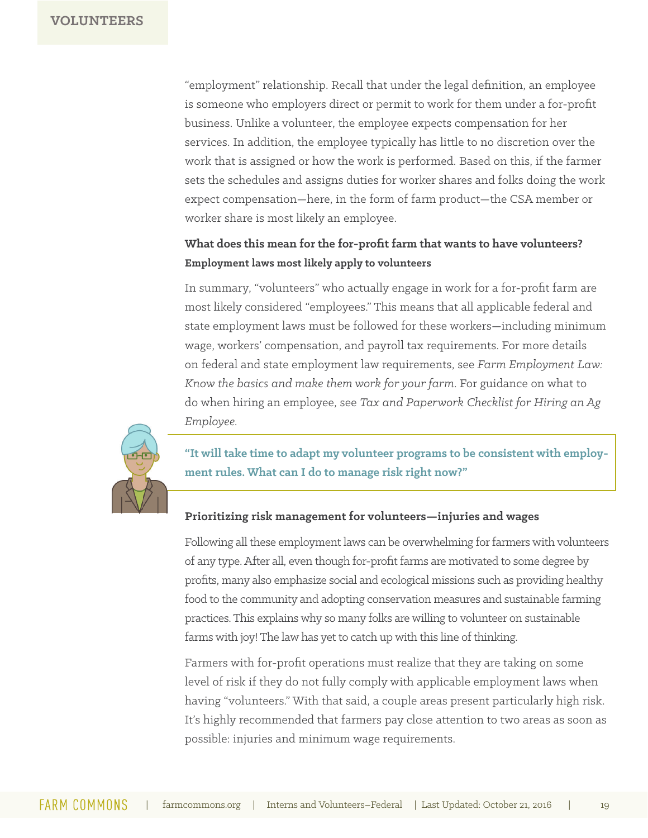"employment" relationship. Recall that under the legal definition, an employee is someone who employers direct or permit to work for them under a for-profit business. Unlike a volunteer, the employee expects compensation for her services. In addition, the employee typically has little to no discretion over the work that is assigned or how the work is performed. Based on this, if the farmer sets the schedules and assigns duties for worker shares and folks doing the work expect compensation—here, in the form of farm product—the CSA member or worker share is most likely an employee.

### **What does this mean for the for-profit farm that wants to have volunteers? Employment laws most likely apply to volunteers**

In summary, "volunteers" who actually engage in work for a for-profit farm are most likely considered "employees." This means that all applicable federal and state employment laws must be followed for these workers—including minimum wage, workers' compensation, and payroll tax requirements. For more details on federal and state employment law requirements, see *Farm Employment Law: Know the basics and make them work for your farm*. For guidance on what to do when hiring an employee, see *Tax and Paperwork Checklist for Hiring an Ag Employee.* 



**"It will take time to adapt my volunteer programs to be consistent with employment rules. What can I do to manage risk right now?"**

#### **Prioritizing risk management for volunteers—injuries and wages**

Following all these employment laws can be overwhelming for farmers with volunteers of any type. After all, even though for-profit farms are motivated to some degree by profits, many also emphasize social and ecological missions such as providing healthy food to the community and adopting conservation measures and sustainable farming practices. This explains why so many folks are willing to volunteer on sustainable farms with joy! The law has yet to catch up with this line of thinking.

Farmers with for-profit operations must realize that they are taking on some level of risk if they do not fully comply with applicable employment laws when having "volunteers." With that said, a couple areas present particularly high risk. It's highly recommended that farmers pay close attention to two areas as soon as possible: injuries and minimum wage requirements.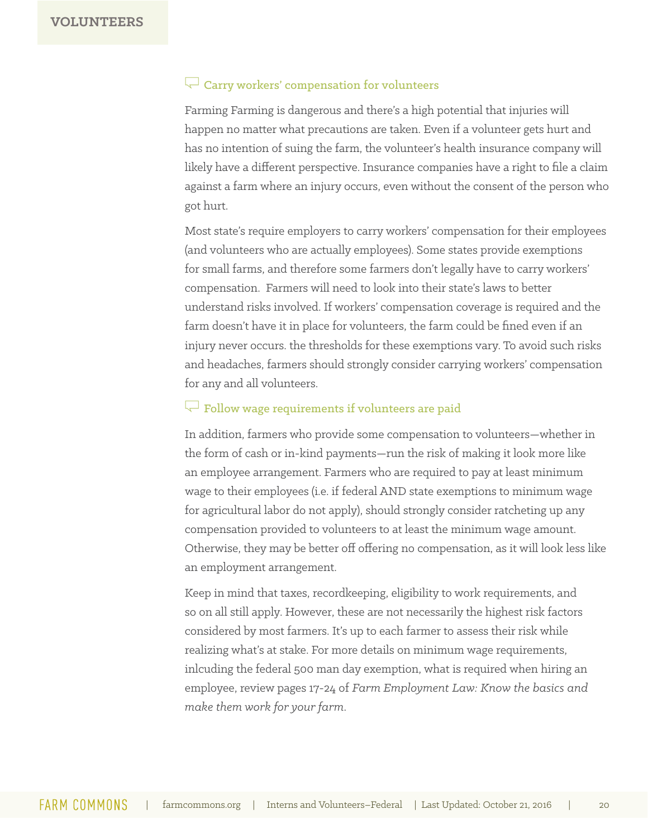#### $R$  Carry workers' compensation for volunteers

Farming Farming is dangerous and there's a high potential that injuries will happen no matter what precautions are taken. Even if a volunteer gets hurt and has no intention of suing the farm, the volunteer's health insurance company will likely have a different perspective. Insurance companies have a right to file a claim against a farm where an injury occurs, even without the consent of the person who got hurt.

Most state's require employers to carry workers' compensation for their employees (and volunteers who are actually employees). Some states provide exemptions for small farms, and therefore some farmers don't legally have to carry workers' compensation. Farmers will need to look into their state's laws to better understand risks involved. If workers' compensation coverage is required and the farm doesn't have it in place for volunteers, the farm could be fined even if an injury never occurs. the thresholds for these exemptions vary. To avoid such risks and headaches, farmers should strongly consider carrying workers' compensation for any and all volunteers.

### $\sqrt{\phantom{a}}$  Follow wage requirements if volunteers are paid

In addition, farmers who provide some compensation to volunteers—whether in the form of cash or in-kind payments—run the risk of making it look more like an employee arrangement. Farmers who are required to pay at least minimum wage to their employees (i.e. if federal AND state exemptions to minimum wage for agricultural labor do not apply), should strongly consider ratcheting up any compensation provided to volunteers to at least the minimum wage amount. Otherwise, they may be better off offering no compensation, as it will look less like an employment arrangement.

Keep in mind that taxes, recordkeeping, eligibility to work requirements, and so on all still apply. However, these are not necessarily the highest risk factors considered by most farmers. It's up to each farmer to assess their risk while realizing what's at stake. For more details on minimum wage requirements, inlcuding the federal 500 man day exemption, what is required when hiring an employee, review pages 17-24 of *Farm Employment Law: Know the basics and make them work for your farm*.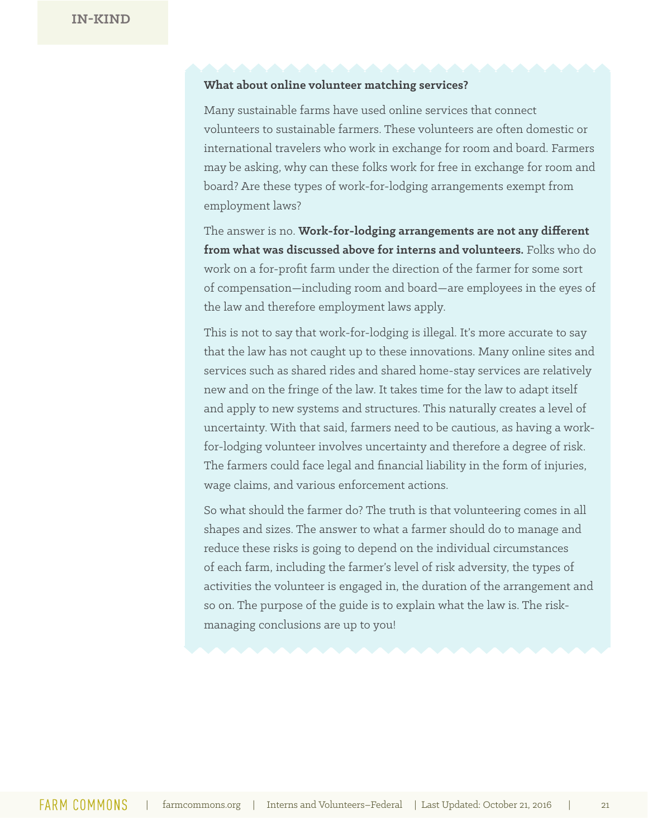#### **What about online volunteer matching services?**

Many sustainable farms have used online services that connect volunteers to sustainable farmers. These volunteers are often domestic or international travelers who work in exchange for room and board. Farmers may be asking, why can these folks work for free in exchange for room and board? Are these types of work-for-lodging arrangements exempt from employment laws?

The answer is no. **Work-for-lodging arrangements are not any different from what was discussed above for interns and volunteers.** Folks who do work on a for-profit farm under the direction of the farmer for some sort of compensation—including room and board—are employees in the eyes of the law and therefore employment laws apply.

This is not to say that work-for-lodging is illegal. It's more accurate to say that the law has not caught up to these innovations. Many online sites and services such as shared rides and shared home-stay services are relatively new and on the fringe of the law. It takes time for the law to adapt itself and apply to new systems and structures. This naturally creates a level of uncertainty. With that said, farmers need to be cautious, as having a workfor-lodging volunteer involves uncertainty and therefore a degree of risk. The farmers could face legal and financial liability in the form of injuries, wage claims, and various enforcement actions.

So what should the farmer do? The truth is that volunteering comes in all shapes and sizes. The answer to what a farmer should do to manage and reduce these risks is going to depend on the individual circumstances of each farm, including the farmer's level of risk adversity, the types of activities the volunteer is engaged in, the duration of the arrangement and so on. The purpose of the guide is to explain what the law is. The riskmanaging conclusions are up to you!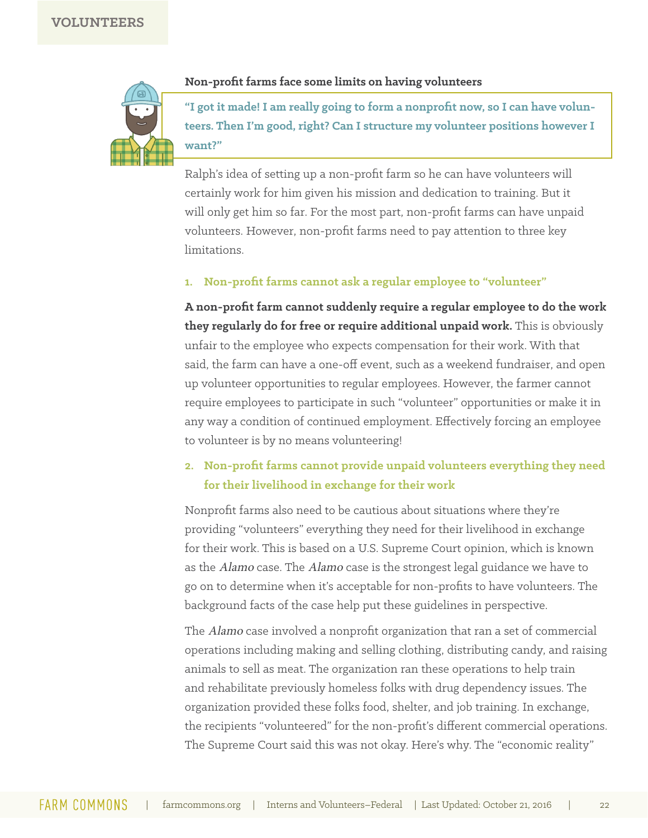

#### **Non-profit farms face some limits on having volunteers**

**"I got it made! I am really going to form a nonprofit now, so I can have volunteers. Then I'm good, right? Can I structure my volunteer positions however I want?"** 

Ralph's idea of setting up a non-profit farm so he can have volunteers will certainly work for him given his mission and dedication to training. But it will only get him so far. For the most part, non-profit farms can have unpaid volunteers. However, non-profit farms need to pay attention to three key limitations.

#### **1. Non-profit farms cannot ask a regular employee to "volunteer"**

**A non-profit farm cannot suddenly require a regular employee to do the work they regularly do for free or require additional unpaid work.** This is obviously unfair to the employee who expects compensation for their work. With that said, the farm can have a one-off event, such as a weekend fundraiser, and open up volunteer opportunities to regular employees. However, the farmer cannot require employees to participate in such "volunteer" opportunities or make it in any way a condition of continued employment. Effectively forcing an employee to volunteer is by no means volunteering!

### **2. Non-profit farms cannot provide unpaid volunteers everything they need for their livelihood in exchange for their work**

Nonprofit farms also need to be cautious about situations where they're providing "volunteers" everything they need for their livelihood in exchange for their work. This is based on a U.S. Supreme Court opinion, which is known as the Alamo case. The Alamo case is the strongest legal guidance we have to go on to determine when it's acceptable for non-profits to have volunteers. The background facts of the case help put these guidelines in perspective.

The *Alamo* case involved a nonprofit organization that ran a set of commercial operations including making and selling clothing, distributing candy, and raising animals to sell as meat. The organization ran these operations to help train and rehabilitate previously homeless folks with drug dependency issues. The organization provided these folks food, shelter, and job training. In exchange, the recipients "volunteered" for the non-profit's different commercial operations. The Supreme Court said this was not okay. Here's why. The "economic reality"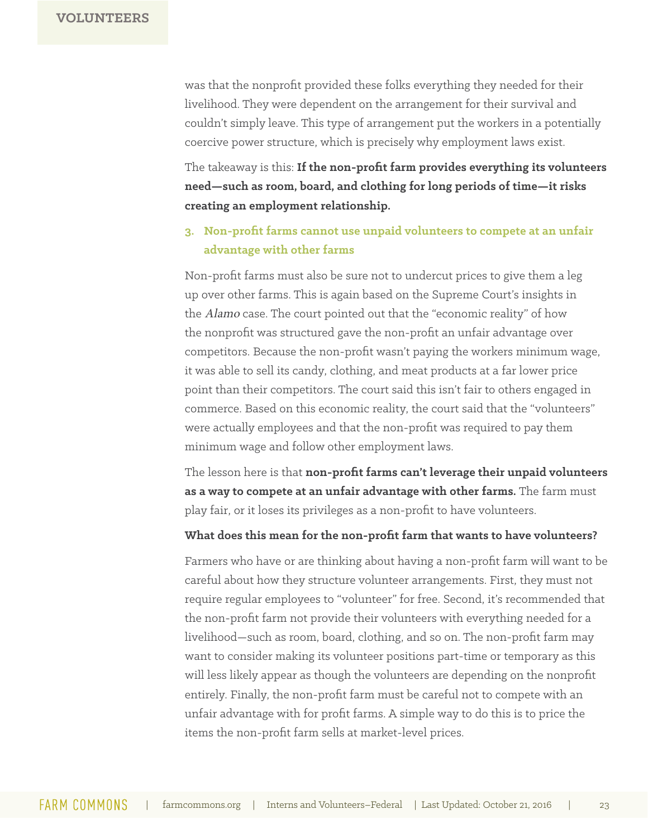was that the nonprofit provided these folks everything they needed for their livelihood. They were dependent on the arrangement for their survival and couldn't simply leave. This type of arrangement put the workers in a potentially coercive power structure, which is precisely why employment laws exist.

The takeaway is this: **If the non-profit farm provides everything its volunteers need—such as room, board, and clothing for long periods of time—it risks creating an employment relationship.**

#### **3. Non-profit farms cannot use unpaid volunteers to compete at an unfair advantage with other farms**

Non-profit farms must also be sure not to undercut prices to give them a leg up over other farms. This is again based on the Supreme Court's insights in the Alamo case. The court pointed out that the "economic reality" of how the nonprofit was structured gave the non-profit an unfair advantage over competitors. Because the non-profit wasn't paying the workers minimum wage, it was able to sell its candy, clothing, and meat products at a far lower price point than their competitors. The court said this isn't fair to others engaged in commerce. Based on this economic reality, the court said that the "volunteers" were actually employees and that the non-profit was required to pay them minimum wage and follow other employment laws.

The lesson here is that **non-profit farms can't leverage their unpaid volunteers as a way to compete at an unfair advantage with other farms.** The farm must play fair, or it loses its privileges as a non-profit to have volunteers.

#### **What does this mean for the non-profit farm that wants to have volunteers?**

Farmers who have or are thinking about having a non-profit farm will want to be careful about how they structure volunteer arrangements. First, they must not require regular employees to "volunteer" for free. Second, it's recommended that the non-profit farm not provide their volunteers with everything needed for a livelihood—such as room, board, clothing, and so on. The non-profit farm may want to consider making its volunteer positions part-time or temporary as this will less likely appear as though the volunteers are depending on the nonprofit entirely. Finally, the non-profit farm must be careful not to compete with an unfair advantage with for profit farms. A simple way to do this is to price the items the non-profit farm sells at market-level prices.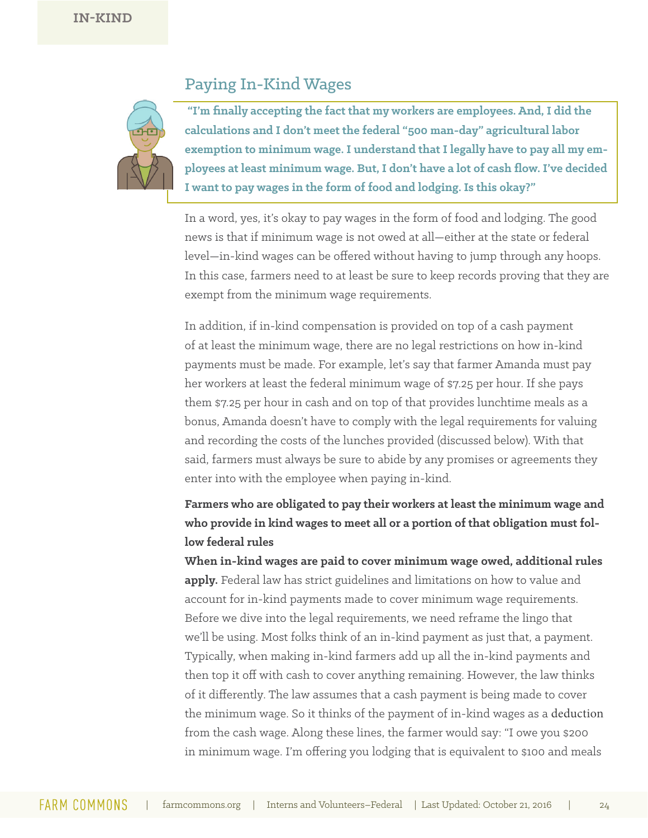### Paying In-Kind Wages



 **"I'm finally accepting the fact that my workers are employees. And, I did the calculations and I don't meet the federal "500 man-day" agricultural labor exemption to minimum wage. I understand that I legally have to pay all my employees at least minimum wage. But, I don't have a lot of cash flow. I've decided I want to pay wages in the form of food and lodging. Is this okay?"**

In a word, yes, it's okay to pay wages in the form of food and lodging. The good news is that if minimum wage is not owed at all—either at the state or federal level—in-kind wages can be offered without having to jump through any hoops. In this case, farmers need to at least be sure to keep records proving that they are exempt from the minimum wage requirements.

In addition, if in-kind compensation is provided on top of a cash payment of at least the minimum wage, there are no legal restrictions on how in-kind payments must be made. For example, let's say that farmer Amanda must pay her workers at least the federal minimum wage of \$7.25 per hour. If she pays them \$7.25 per hour in cash and on top of that provides lunchtime meals as a bonus, Amanda doesn't have to comply with the legal requirements for valuing and recording the costs of the lunches provided (discussed below). With that said, farmers must always be sure to abide by any promises or agreements they enter into with the employee when paying in-kind.

**Farmers who are obligated to pay their workers at least the minimum wage and who provide in kind wages to meet all or a portion of that obligation must follow federal rules**

**When in-kind wages are paid to cover minimum wage owed, additional rules apply.** Federal law has strict guidelines and limitations on how to value and account for in-kind payments made to cover minimum wage requirements. Before we dive into the legal requirements, we need reframe the lingo that we'll be using. Most folks think of an in-kind payment as just that, a payment. Typically, when making in-kind farmers add up all the in-kind payments and then top it off with cash to cover anything remaining. However, the law thinks of it differently. The law assumes that a cash payment is being made to cover the minimum wage. So it thinks of the payment of in-kind wages as a deduction from the cash wage. Along these lines, the farmer would say: "I owe you \$200 in minimum wage. I'm offering you lodging that is equivalent to \$100 and meals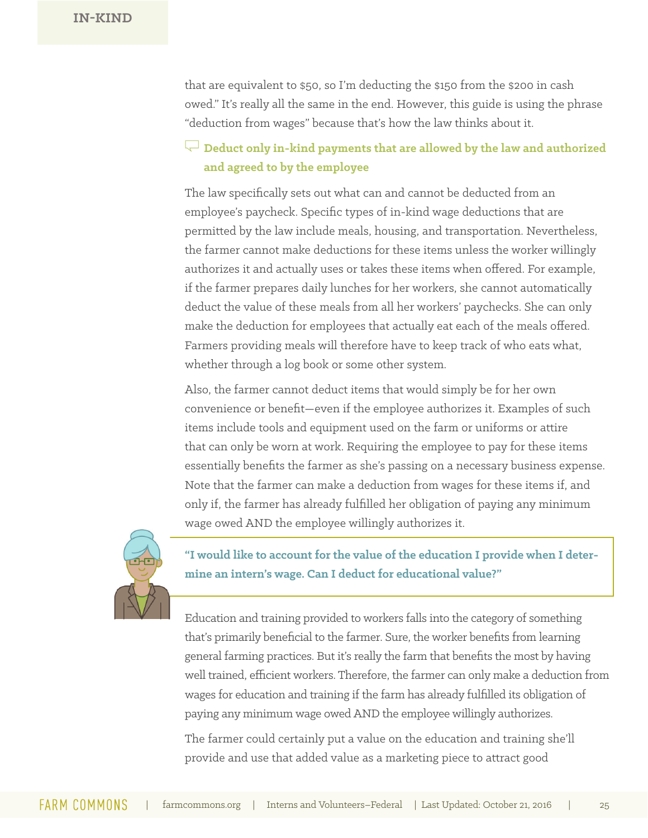that are equivalent to \$50, so I'm deducting the \$150 from the \$200 in cash owed." It's really all the same in the end. However, this guide is using the phrase "deduction from wages" because that's how the law thinks about it.

### **Example 1** Deduct only in-kind payments that are allowed by the law and authorized **and agreed to by the employee**

The law specifically sets out what can and cannot be deducted from an employee's paycheck. Specific types of in-kind wage deductions that are permitted by the law include meals, housing, and transportation. Nevertheless, the farmer cannot make deductions for these items unless the worker willingly authorizes it and actually uses or takes these items when offered. For example, if the farmer prepares daily lunches for her workers, she cannot automatically deduct the value of these meals from all her workers' paychecks. She can only make the deduction for employees that actually eat each of the meals offered. Farmers providing meals will therefore have to keep track of who eats what, whether through a log book or some other system.

Also, the farmer cannot deduct items that would simply be for her own convenience or benefit—even if the employee authorizes it. Examples of such items include tools and equipment used on the farm or uniforms or attire that can only be worn at work. Requiring the employee to pay for these items essentially benefits the farmer as she's passing on a necessary business expense. Note that the farmer can make a deduction from wages for these items if, and only if, the farmer has already fulfilled her obligation of paying any minimum wage owed AND the employee willingly authorizes it.



**"I would like to account for the value of the education I provide when I determine an intern's wage. Can I deduct for educational value?"**

Education and training provided to workers falls into the category of something that's primarily beneficial to the farmer. Sure, the worker benefits from learning general farming practices. But it's really the farm that benefits the most by having well trained, efficient workers. Therefore, the farmer can only make a deduction from wages for education and training if the farm has already fulfilled its obligation of paying any minimum wage owed AND the employee willingly authorizes.

The farmer could certainly put a value on the education and training she'll provide and use that added value as a marketing piece to attract good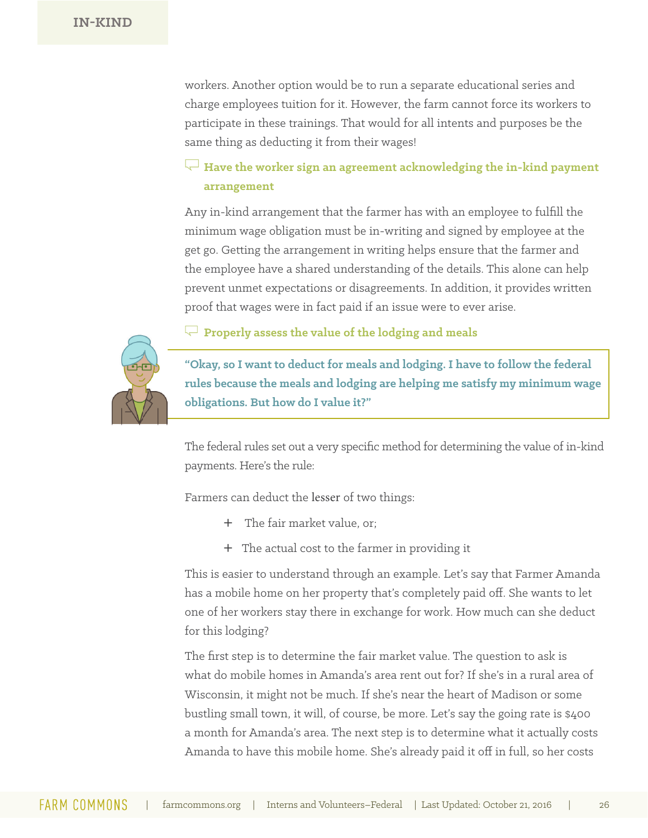workers. Another option would be to run a separate educational series and charge employees tuition for it. However, the farm cannot force its workers to participate in these trainings. That would for all intents and purposes be the same thing as deducting it from their wages!

### $\sqrt{-\,}$  Have the worker sign an agreement acknowledging the in-kind payment **arrangement**

Any in-kind arrangement that the farmer has with an employee to fulfill the minimum wage obligation must be in-writing and signed by employee at the get go. Getting the arrangement in writing helps ensure that the farmer and the employee have a shared understanding of the details. This alone can help prevent unmet expectations or disagreements. In addition, it provides written proof that wages were in fact paid if an issue were to ever arise.

R **Properly assess the value of the lodging and meals** 

**"Okay, so I want to deduct for meals and lodging. I have to follow the federal rules because the meals and lodging are helping me satisfy my minimum wage obligations. But how do I value it?"** 

The federal rules set out a very specific method for determining the value of in-kind payments. Here's the rule:

Farmers can deduct the lesser of two things:

- + The fair market value, or;
- + The actual cost to the farmer in providing it

This is easier to understand through an example. Let's say that Farmer Amanda has a mobile home on her property that's completely paid off. She wants to let one of her workers stay there in exchange for work. How much can she deduct for this lodging?

The first step is to determine the fair market value. The question to ask is what do mobile homes in Amanda's area rent out for? If she's in a rural area of Wisconsin, it might not be much. If she's near the heart of Madison or some bustling small town, it will, of course, be more. Let's say the going rate is \$400 a month for Amanda's area. The next step is to determine what it actually costs Amanda to have this mobile home. She's already paid it off in full, so her costs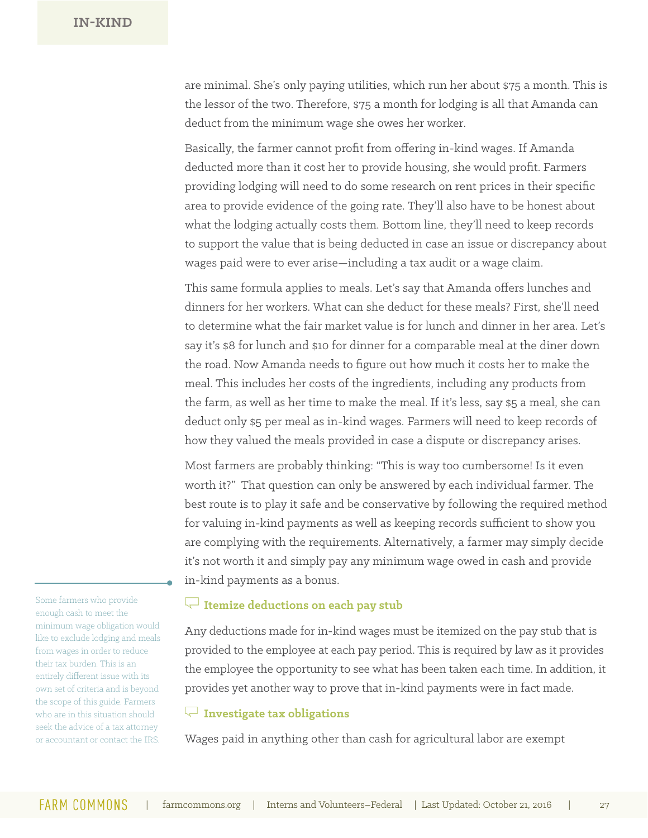are minimal. She's only paying utilities, which run her about \$75 a month. This is the lessor of the two. Therefore, \$75 a month for lodging is all that Amanda can deduct from the minimum wage she owes her worker.

Basically, the farmer cannot profit from offering in-kind wages. If Amanda deducted more than it cost her to provide housing, she would profit. Farmers providing lodging will need to do some research on rent prices in their specific area to provide evidence of the going rate. They'll also have to be honest about what the lodging actually costs them. Bottom line, they'll need to keep records to support the value that is being deducted in case an issue or discrepancy about wages paid were to ever arise—including a tax audit or a wage claim.

This same formula applies to meals. Let's say that Amanda offers lunches and dinners for her workers. What can she deduct for these meals? First, she'll need to determine what the fair market value is for lunch and dinner in her area. Let's say it's \$8 for lunch and \$10 for dinner for a comparable meal at the diner down the road. Now Amanda needs to figure out how much it costs her to make the meal. This includes her costs of the ingredients, including any products from the farm, as well as her time to make the meal. If it's less, say \$5 a meal, she can deduct only \$5 per meal as in-kind wages. Farmers will need to keep records of how they valued the meals provided in case a dispute or discrepancy arises.

Most farmers are probably thinking: "This is way too cumbersome! Is it even worth it?" That question can only be answered by each individual farmer. The best route is to play it safe and be conservative by following the required method for valuing in-kind payments as well as keeping records sufficient to show you are complying with the requirements. Alternatively, a farmer may simply decide it's not worth it and simply pay any minimum wage owed in cash and provide in-kind payments as a bonus.

### R **Itemize deductions on each pay stub**

Any deductions made for in-kind wages must be itemized on the pay stub that is provided to the employee at each pay period. This is required by law as it provides the employee the opportunity to see what has been taken each time. In addition, it provides yet another way to prove that in-kind payments were in fact made.

#### R **Investigate tax obligations**

Wages paid in anything other than cash for agricultural labor are exempt

Some farmers who provide enough cash to meet the minimum wage obligation would like to exclude lodging and meals from wages in order to reduce their tax burden. This is an entirely different issue with its own set of criteria and is beyond the scope of this guide. Farmers who are in this situation should seek the advice of a tax attorney or accountant or contact the IRS.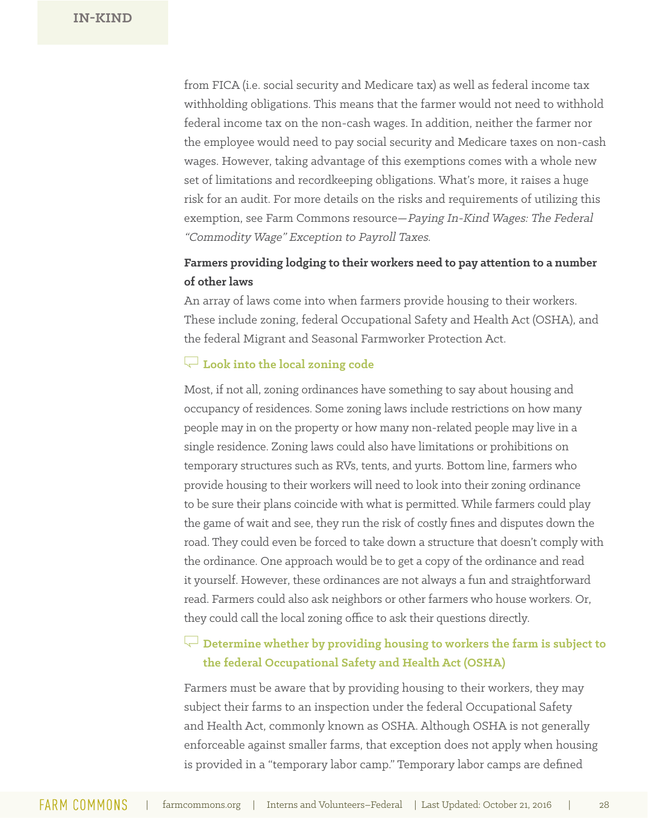from FICA (i.e. social security and Medicare tax) as well as federal income tax withholding obligations. This means that the farmer would not need to withhold federal income tax on the non-cash wages. In addition, neither the farmer nor the employee would need to pay social security and Medicare taxes on non-cash wages. However, taking advantage of this exemptions comes with a whole new set of limitations and recordkeeping obligations. What's more, it raises a huge risk for an audit. For more details on the risks and requirements of utilizing this exemption, see Farm Commons resource—Paying In-Kind Wages: The Federal "Commodity Wage" Exception to Payroll Taxes.

### **Farmers providing lodging to their workers need to pay attention to a number of other laws**

An array of laws come into when farmers provide housing to their workers. These include zoning, federal Occupational Safety and Health Act (OSHA), and the federal Migrant and Seasonal Farmworker Protection Act.

#### R **Look into the local zoning code**

Most, if not all, zoning ordinances have something to say about housing and occupancy of residences. Some zoning laws include restrictions on how many people may in on the property or how many non-related people may live in a single residence. Zoning laws could also have limitations or prohibitions on temporary structures such as RVs, tents, and yurts. Bottom line, farmers who provide housing to their workers will need to look into their zoning ordinance to be sure their plans coincide with what is permitted. While farmers could play the game of wait and see, they run the risk of costly fines and disputes down the road. They could even be forced to take down a structure that doesn't comply with the ordinance. One approach would be to get a copy of the ordinance and read it yourself. However, these ordinances are not always a fun and straightforward read. Farmers could also ask neighbors or other farmers who house workers. Or, they could call the local zoning office to ask their questions directly.

### $\mathbb{R}^{\mathbb{Z}}$  Determine whether by providing housing to workers the farm is subject to **the federal Occupational Safety and Health Act (OSHA)**

Farmers must be aware that by providing housing to their workers, they may subject their farms to an inspection under the federal Occupational Safety and Health Act, commonly known as OSHA. Although OSHA is not generally enforceable against smaller farms, that exception does not apply when housing is provided in a "temporary labor camp." Temporary labor camps are defined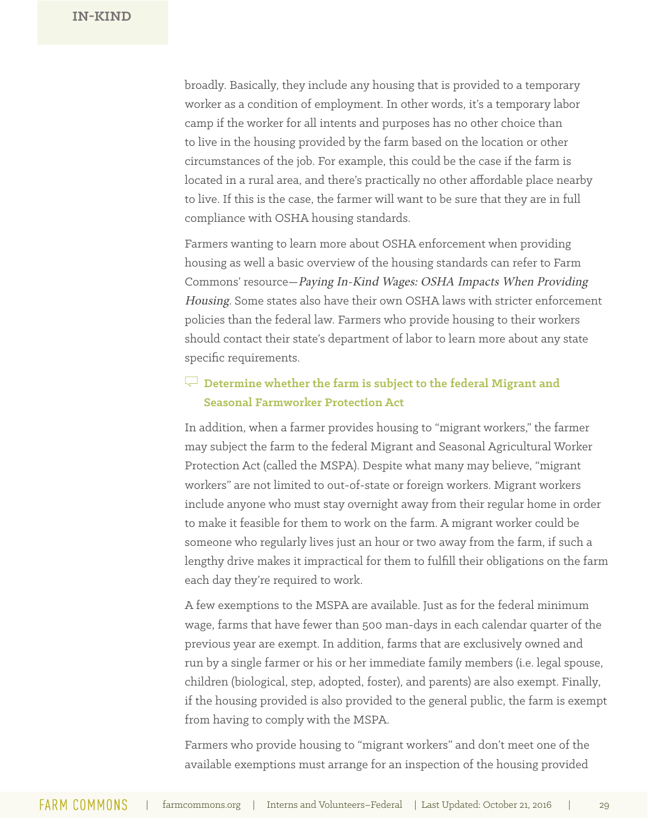broadly. Basically, they include any housing that is provided to a temporary worker as a condition of employment. In other words, it's a temporary labor camp if the worker for all intents and purposes has no other choice than to live in the housing provided by the farm based on the location or other circumstances of the job. For example, this could be the case if the farm is located in a rural area, and there's practically no other affordable place nearby to live. If this is the case, the farmer will want to be sure that they are in full compliance with OSHA housing standards.

Farmers wanting to learn more about OSHA enforcement when providing housing as well a basic overview of the housing standards can refer to Farm Commons' resource—Paying In-Kind Wages: OSHA Impacts When Providing Housing. Some states also have their own OSHA laws with stricter enforcement policies than the federal law. Farmers who provide housing to their workers should contact their state's department of labor to learn more about any state specific requirements.

### R **Determine whether the farm is subject to the federal Migrant and Seasonal Farmworker Protection Act**

In addition, when a farmer provides housing to "migrant workers," the farmer may subject the farm to the federal Migrant and Seasonal Agricultural Worker Protection Act (called the MSPA). Despite what many may believe, "migrant workers" are not limited to out-of-state or foreign workers. Migrant workers include anyone who must stay overnight away from their regular home in order to make it feasible for them to work on the farm. A migrant worker could be someone who regularly lives just an hour or two away from the farm, if such a lengthy drive makes it impractical for them to fulfill their obligations on the farm each day they're required to work.

A few exemptions to the MSPA are available. Just as for the federal minimum wage, farms that have fewer than 500 man-days in each calendar quarter of the previous year are exempt. In addition, farms that are exclusively owned and run by a single farmer or his or her immediate family members (i.e. legal spouse, children (biological, step, adopted, foster), and parents) are also exempt. Finally, if the housing provided is also provided to the general public, the farm is exempt from having to comply with the MSPA.

Farmers who provide housing to "migrant workers" and don't meet one of the available exemptions must arrange for an inspection of the housing provided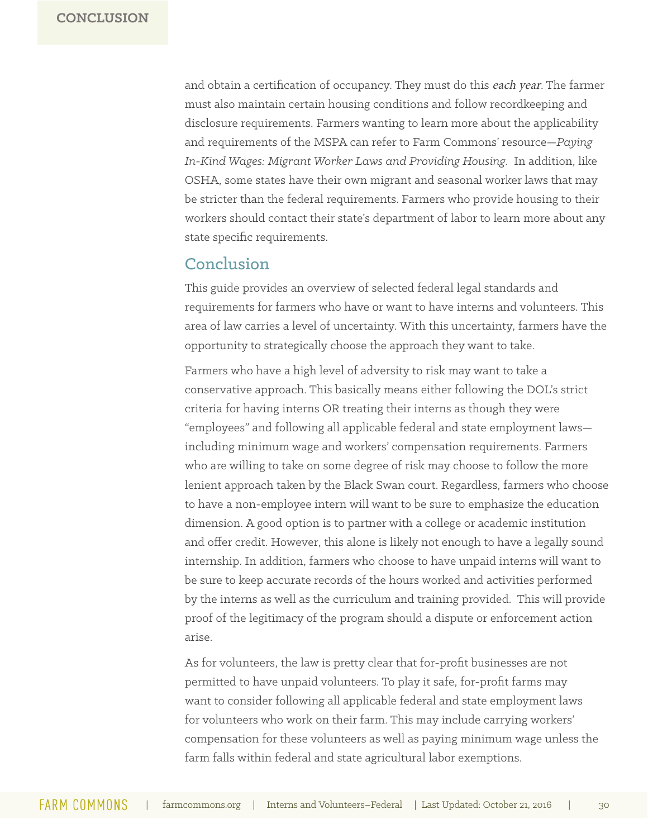and obtain a certification of occupancy. They must do this each year. The farmer must also maintain certain housing conditions and follow recordkeeping and disclosure requirements. Farmers wanting to learn more about the applicability and requirements of the MSPA can refer to Farm Commons' resource—*Paying In-Kind Wages: Migrant Worker Laws and Providing Housing*. In addition, like OSHA, some states have their own migrant and seasonal worker laws that may be stricter than the federal requirements. Farmers who provide housing to their workers should contact their state's department of labor to learn more about any state specific requirements.

### **Conclusion**

This guide provides an overview of selected federal legal standards and requirements for farmers who have or want to have interns and volunteers. This area of law carries a level of uncertainty. With this uncertainty, farmers have the opportunity to strategically choose the approach they want to take.

Farmers who have a high level of adversity to risk may want to take a conservative approach. This basically means either following the DOL's strict criteria for having interns OR treating their interns as though they were "employees" and following all applicable federal and state employment laws including minimum wage and workers' compensation requirements. Farmers who are willing to take on some degree of risk may choose to follow the more lenient approach taken by the Black Swan court. Regardless, farmers who choose to have a non-employee intern will want to be sure to emphasize the education dimension. A good option is to partner with a college or academic institution and offer credit. However, this alone is likely not enough to have a legally sound internship. In addition, farmers who choose to have unpaid interns will want to be sure to keep accurate records of the hours worked and activities performed by the interns as well as the curriculum and training provided. This will provide proof of the legitimacy of the program should a dispute or enforcement action arise.

As for volunteers, the law is pretty clear that for-profit businesses are not permitted to have unpaid volunteers. To play it safe, for-profit farms may want to consider following all applicable federal and state employment laws for volunteers who work on their farm. This may include carrying workers' compensation for these volunteers as well as paying minimum wage unless the farm falls within federal and state agricultural labor exemptions.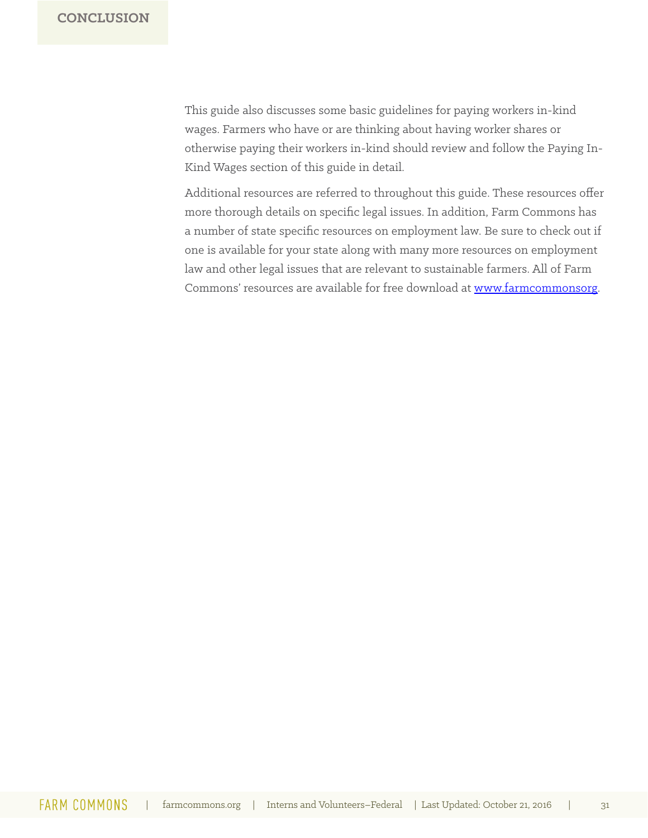This guide also discusses some basic guidelines for paying workers in-kind wages. Farmers who have or are thinking about having worker shares or otherwise paying their workers in-kind should review and follow the Paying In-Kind Wages section of this guide in detail.

Additional resources are referred to throughout this guide. These resources offer more thorough details on specific legal issues. In addition, Farm Commons has a number of state specific resources on employment law. Be sure to check out if one is available for your state along with many more resources on employment law and other legal issues that are relevant to sustainable farmers. All of Farm Commons' resources are available for free download at www.farmcommonsorg.